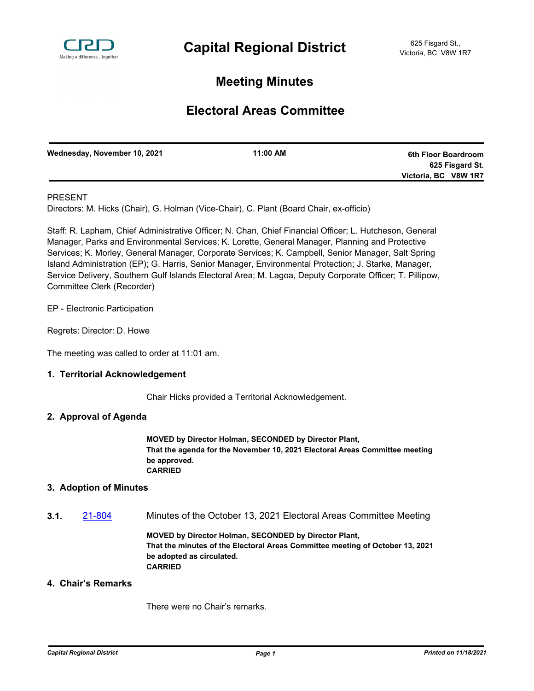

# **Meeting Minutes**

# **Electoral Areas Committee**

| Wednesday, November 10, 2021 | 11:00 AM | 6th Floor Boardroom  |
|------------------------------|----------|----------------------|
|                              |          | 625 Fisgard St.      |
|                              |          | Victoria, BC V8W 1R7 |
|                              |          |                      |

## PRESENT

Directors: M. Hicks (Chair), G. Holman (Vice-Chair), C. Plant (Board Chair, ex-officio)

Staff: R. Lapham, Chief Administrative Officer; N. Chan, Chief Financial Officer; L. Hutcheson, General Manager, Parks and Environmental Services; K. Lorette, General Manager, Planning and Protective Services; K. Morley, General Manager, Corporate Services; K. Campbell, Senior Manager, Salt Spring Island Administration (EP); G. Harris, Senior Manager, Environmental Protection; J. Starke, Manager, Service Delivery, Southern Gulf Islands Electoral Area; M. Lagoa, Deputy Corporate Officer; T. Pillipow, Committee Clerk (Recorder)

EP - Electronic Participation

Regrets: Director: D. Howe

The meeting was called to order at 11:01 am.

## **1. Territorial Acknowledgement**

Chair Hicks provided a Territorial Acknowledgement.

## **2. Approval of Agenda**

**MOVED by Director Holman, SECONDED by Director Plant, That the agenda for the November 10, 2021 Electoral Areas Committee meeting be approved. CARRIED**

#### **3. Adoption of Minutes**

**3.1.** [21-804](http://crd.ca.legistar.com/gateway.aspx?m=l&id=/matter.aspx?key=8752) Minutes of the October 13, 2021 Electoral Areas Committee Meeting

**MOVED by Director Holman, SECONDED by Director Plant, That the minutes of the Electoral Areas Committee meeting of October 13, 2021 be adopted as circulated. CARRIED**

#### **4. Chair's Remarks**

There were no Chair's remarks.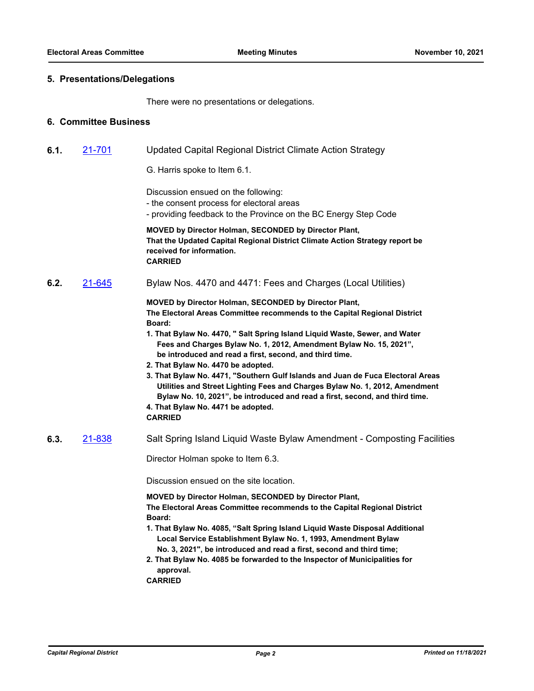#### **5. Presentations/Delegations**

There were no presentations or delegations.

#### **6. Committee Business**

- **6.1.** [21-701](http://crd.ca.legistar.com/gateway.aspx?m=l&id=/matter.aspx?key=8649) Updated Capital Regional District Climate Action Strategy
	- G. Harris spoke to Item 6.1.

Discussion ensued on the following:

- the consent process for electoral areas
- providing feedback to the Province on the BC Energy Step Code

**MOVED by Director Holman, SECONDED by Director Plant, That the Updated Capital Regional District Climate Action Strategy report be received for information. CARRIED**

**6.2.** [21-645](http://crd.ca.legistar.com/gateway.aspx?m=l&id=/matter.aspx?key=8593) Bylaw Nos. 4470 and 4471: Fees and Charges (Local Utilities)

**MOVED by Director Holman, SECONDED by Director Plant, The Electoral Areas Committee recommends to the Capital Regional District Board:**

- **1. That Bylaw No. 4470, " Salt Spring Island Liquid Waste, Sewer, and Water Fees and Charges Bylaw No. 1, 2012, Amendment Bylaw No. 15, 2021", be introduced and read a first, second, and third time.**
- **2. That Bylaw No. 4470 be adopted.**
- **3. That Bylaw No. 4471, "Southern Gulf Islands and Juan de Fuca Electoral Areas Utilities and Street Lighting Fees and Charges Bylaw No. 1, 2012, Amendment Bylaw No. 10, 2021", be introduced and read a first, second, and third time.**
- **4. That Bylaw No. 4471 be adopted.**
- **CARRIED**
- **6.3.** [21-838](http://crd.ca.legistar.com/gateway.aspx?m=l&id=/matter.aspx?key=8786) Salt Spring Island Liquid Waste Bylaw Amendment Composting Facilities

Director Holman spoke to Item 6.3.

Discussion ensued on the site location.

**MOVED by Director Holman, SECONDED by Director Plant, The Electoral Areas Committee recommends to the Capital Regional District Board:**

- **1. That Bylaw No. 4085, "Salt Spring Island Liquid Waste Disposal Additional Local Service Establishment Bylaw No. 1, 1993, Amendment Bylaw No. 3, 2021", be introduced and read a first, second and third time;**
- **2. That Bylaw No. 4085 be forwarded to the Inspector of Municipalities for approval.**
- **CARRIED**